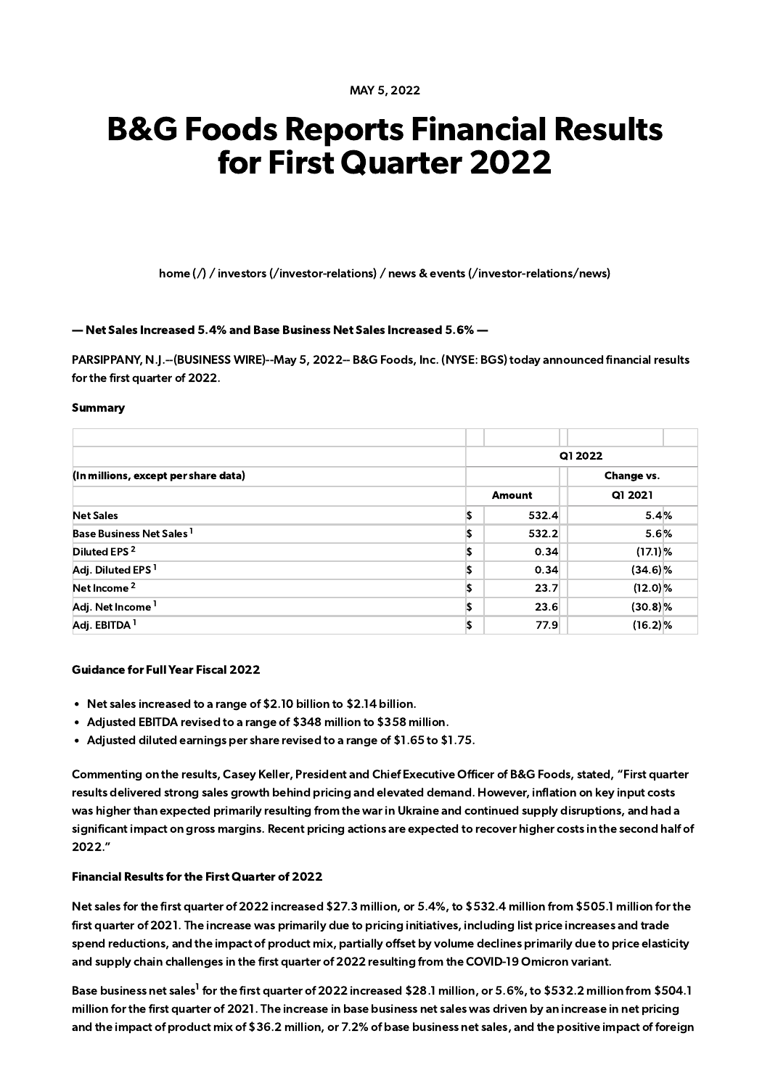MAY 5, 2022

# B&G Foods Reports Financial Results for First Quarter 2022

[home](https://bgfoods.com/) (/) / investors [\(/investor-relations\)](https://bgfoods.com/investor-relations) / news & events [\(/investor-relations/news\)](https://bgfoods.com/investor-relations/news)

#### — Net Sales Increased 5.4% and Base Business Net Sales Increased 5.6% —

PARSIPPANY, N.J.--(BUSINESS WIRE)--May 5, 2022-- B&G Foods, Inc. (NYSE: BGS) today announced financial results for the first quarter of 2022.

#### Summary

|                                      | Q1 2022       |       |            |  |
|--------------------------------------|---------------|-------|------------|--|
| (In millions, except per share data) |               |       |            |  |
|                                      | <b>Amount</b> |       | Q1 2021    |  |
| <b>Net Sales</b>                     | \$            | 532.4 | 5.4%       |  |
| Base Business Net Sales <sup>1</sup> | \$            | 532.2 | 5.6%       |  |
| Diluted EPS <sup>2</sup>             | \$            | 0.34  | $(17.1)$ % |  |
| Adj. Diluted EPS <sup>1</sup>        | \$            | 0.34  | $(34.6)$ % |  |
| Net Income <sup>2</sup>              | \$            | 23.7  | $(12.0)$ % |  |
| Adj. Net Income <sup>1</sup>         | \$            | 23.6  | $(30.8)\%$ |  |
| Adj. EBITDA <sup>1</sup>             | \$            | 77.9  | $(16.2)$ % |  |

#### Guidance for Full Year Fiscal 2022

- Net sales increased to a range of \$2.10 billion to \$2.14 billion.
- Adjusted EBITDA revised to a range of \$348 million to \$358 million.
- Adjusted diluted earnings per share revised to a range of \$1.65 to \$1.75.

Commenting on the results, Casey Keller, President and Chief Executive Officer of B&G Foods, stated, "First quarter results delivered strong sales growth behind pricing and elevated demand. However, inflation on key input costs was higher than expected primarily resulting from the war in Ukraine and continued supply disruptions, and had a significant impact on gross margins. Recent pricing actions are expected to recover higher costs in the second half of 2022."

#### Financial Results for the First Quarter of 2022

Net sales for the first quarter of 2022 increased \$27.3 million, or 5.4%, to \$532.4 million from \$505.1 million for the first quarter of 2021. The increase was primarily due to pricing initiatives, including list price increases and trade spend reductions, and the impact of product mix, partially offset by volume declines primarily due to price elasticity and supply chain challenges in the first quarter of 2022 resulting from the COVID-19 Omicron variant.

Base business net sales<sup>1</sup> for the first quarter of 2022 increased \$28.1 million, or 5.6%, to \$532.2 million from \$504.1 million for the first quarter of 2021. The increase in base business net sales was driven by an increase in net pricing and the impact of product mix of \$36.2 million, or 7.2% of base business net sales, and the positive impact of foreign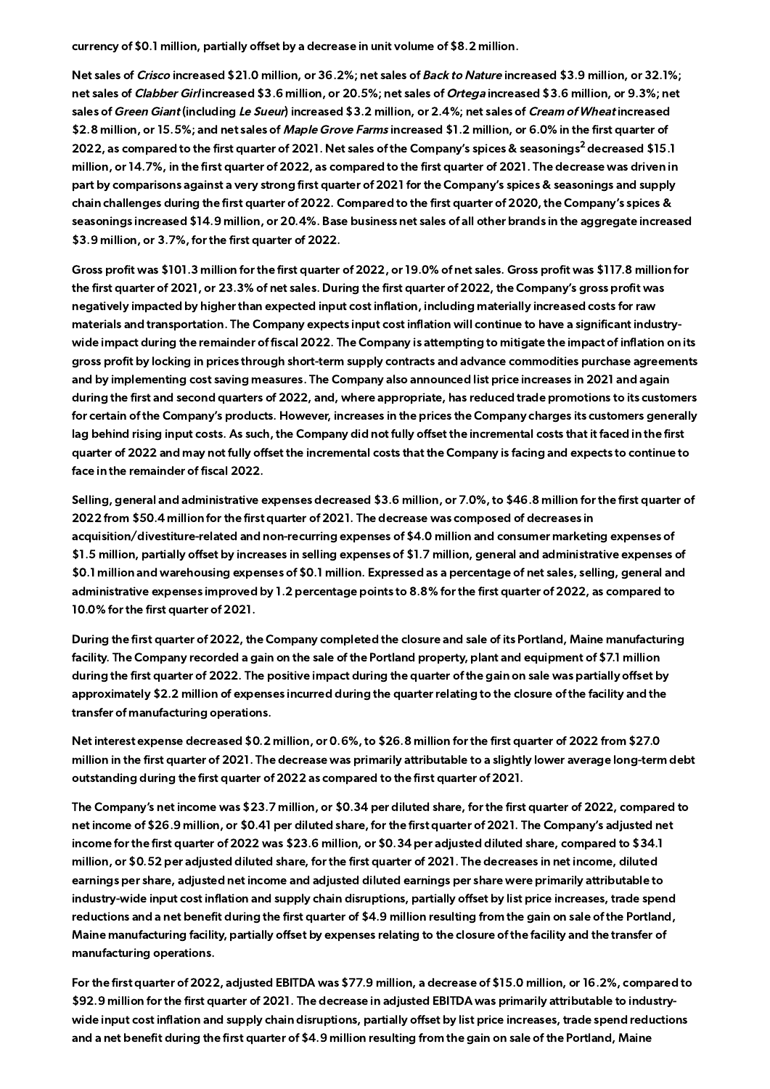currency of \$0.1 million, partially offset by a decrease in unit volume of \$8.2 million.

Net sales of Crisco increased \$21.0 million, or 36.2%; net sales of Back to Nature increased \$3.9 million, or 32.1%; net sales of Clabber Girl increased \$3.6 million, or 20.5%; net sales of Ortega increased \$3.6 million, or 9.3%; net sales of Green Giant (including Le Sueur) increased \$3.2 million, or 2.4%; net sales of Cream of Wheat increased \$2.8 million, or 15.5%; and net sales of *Maple Grove Farms* increased \$1.2 million, or 6.0% in the first quarter of 2022, as compared to the first quarter of 2021. Net sales of the Company's spices & seasonings<sup>2</sup> decreased \$15.1 million, or 14.7%, in the first quarter of 2022, as compared to the first quarter of 2021. The decrease was driven in part by comparisons against a very strong first quarter of 2021 for the Company's spices & seasonings and supply chain challenges during the first quarter of 2022. Compared to the first quarter of 2020, the Company's spices & seasonings increased \$14.9 million, or 20.4%. Base business net sales of all other brands in the aggregate increased \$3.9 million, or 3.7%, for the first quarter of 2022.

Gross profit was \$101.3 million for the first quarter of 2022, or 19.0% of net sales. Gross profit was \$117.8 million for the first quarter of 2021, or 23.3% of net sales. During the first quarter of 2022, the Company's gross profit was negatively impacted by higher than expected input cost inflation, including materially increased costs for raw materials and transportation. The Company expects input cost inflation will continue to have a significant industrywide impact during the remainder of fiscal 2022. The Company is attempting to mitigate the impact of inflation on its gross profit by locking in prices through short-term supply contracts and advance commodities purchase agreements and by implementing cost saving measures. The Company also announced list price increases in 2021 and again during the first and second quarters of 2022, and, where appropriate, has reduced trade promotions to its customers for certain of the Company's products. However, increases in the prices the Company charges its customers generally lag behind rising input costs. As such, the Company did not fully offset the incremental costs that it faced in the first quarter of 2022 and may not fully offset the incremental costs that the Company is facing and expects to continue to face in the remainder of fiscal 2022.

Selling, general and administrative expenses decreased \$3.6 million, or 7.0%, to \$46.8 million for the first quarter of 2022 from \$50.4 million for the first quarter of 2021. The decrease was composed of decreases in acquisition/divestiture-related and non-recurring expenses of \$4.0 million and consumer marketing expenses of \$1.5 million, partially offset by increases in selling expenses of \$1.7 million, general and administrative expenses of \$0.1 million and warehousing expenses of \$0.1 million. Expressed as a percentage of net sales, selling, general and administrative expenses improved by 1.2 percentage points to 8.8% for the first quarter of 2022, as compared to 10.0% for the first quarter of 2021.

During the first quarter of 2022, the Company completed the closure and sale of its Portland, Maine manufacturing facility. The Company recorded a gain on the sale of the Portland property, plant and equipment of \$7.1 million during the first quarter of 2022. The positive impact during the quarter of the gain on sale was partially offset by approximately \$2.2 million of expenses incurred during the quarter relating to the closure of the facility and the transfer of manufacturing operations.

Net interest expense decreased \$0.2 million, or 0.6%, to \$26.8 million for the first quarter of 2022 from \$27.0 million in the first quarter of 2021. The decrease was primarily attributable to a slightly lower average long-term debt outstanding during the first quarter of 2022 as compared to the first quarter of 2021.

The Company's net income was \$23.7 million, or \$0.34 per diluted share, for the first quarter of 2022, compared to net income of \$26.9 million, or \$0.41 per diluted share, for the first quarter of 2021. The Company's adjusted net income for the first quarter of 2022 was \$23.6 million, or \$0.34 per adjusted diluted share, compared to \$34.1 million, or \$0.52 per adjusted diluted share, for the first quarter of 2021. The decreases in net income, diluted earnings per share, adjusted net income and adjusted diluted earnings per share were primarily attributable to industry-wide input cost inflation and supply chain disruptions, partially offset by list price increases, trade spend reductions and a net benefit during the first quarter of \$4.9 million resulting from the gain on sale of the Portland, Maine manufacturing facility, partially offset by expenses relating to the closure of the facility and the transfer of manufacturing operations.

For the first quarter of 2022, adjusted EBITDA was \$77.9 million, a decrease of \$15.0 million, or 16.2%, compared to \$92.9 million for the first quarter of 2021. The decrease in adjusted EBITDA was primarily attributable to industrywide input cost inflation and supply chain disruptions, partially offset by list price increases, trade spend reductions and a net benefit during the first quarter of \$4.9 million resulting from the gain on sale of the Portland, Maine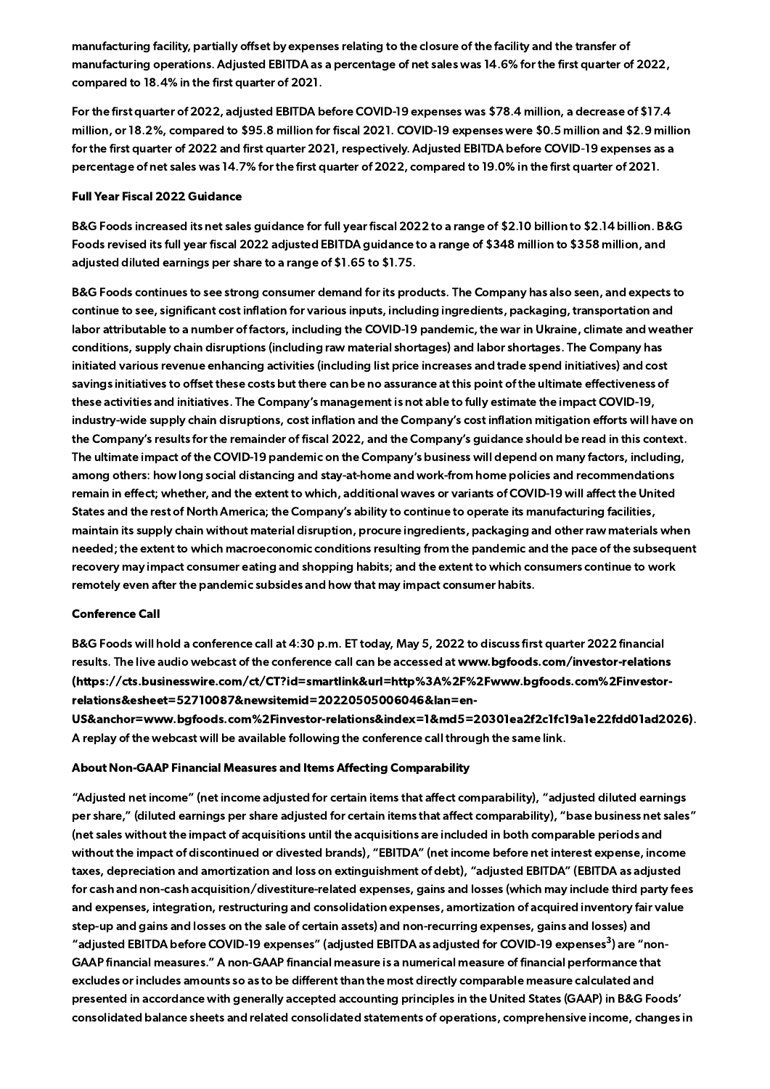manufacturing facility, partially offset by expenses relating to the closure of the facility and the transfer of manufacturing operations. Adjusted EBITDA as a percentage of net sales was 14.6% for the first quarter of 2022, compared to 18.4% in the first quarter of 2021.

For the first quarter of 2022, adjusted EBITDA before COVID-19 expenses was \$78.4 million, a decrease of \$17.4 million, or 18.2%, compared to \$95.8 million for fiscal 2021. COVID-19 expenses were \$0.5 million and \$2.9 million for the first quarter of 2022 and first quarter 2021, respectively. Adjusted EBITDA before COVID-19 expenses as a percentage of net sales was 14.7% for the first quarter of 2022, compared to 19.0% in the first quarter of 2021.

#### Full Year Fiscal 2022 Guidance

B&G Foods increased its net sales guidance for full year fiscal 2022 to a range of \$2.10 billion to \$2.14 billion. B&G Foods revised its full year fiscal 2022 adjusted EBITDA guidance to a range of \$348 million to \$358 million, and adjusted diluted earnings per share to a range of \$1.65 to \$1.75.

B&G Foods continues to see strong consumer demand for its products. The Company has also seen, and expects to continue to see, significant cost inflation for various inputs, including ingredients, packaging, transportation and labor attributable to a number of factors, including the COVID-19 pandemic, the war in Ukraine, climate and weather conditions, supply chain disruptions (including raw material shortages) and labor shortages. The Company has initiated various revenue enhancing activities (including list price increases and trade spend initiatives) and cost savings initiatives to offset these costs but there can be no assurance at this point of the ultimate effectiveness of these activities and initiatives. The Company's management is not able to fully estimate the impact COVID-19, industry-wide supply chain disruptions, cost inflation and the Company's cost inflation mitigation efforts will have on the Company's results for the remainder of fiscal 2022, and the Company's guidance should be read in this context. The ultimate impact of the COVID-19 pandemic on the Company's business will depend on many factors, including, among others: how long social distancing and stay-at-home and work-from home policies and recommendations remain in effect; whether, and the extent to which, additional waves or variants of COVID-19 will affect the United States and the rest of North America; the Company's ability to continue to operate its manufacturing facilities, maintain its supply chain without material disruption, procure ingredients, packaging and other raw materials when needed; the extent to which macroeconomic conditions resulting from the pandemic and the pace of the subsequent recovery may impact consumer eating and shopping habits; and the extent to which consumers continue to work remotely even after the pandemic subsides and how that may impact consumer habits.

#### Conference Call

B&G Foods will hold a conference call at 4:30 p.m. ET today, May 5, 2022 to discuss first quarter 2022 financial results. The live audio webcast of the conference call can be accessed at www.bgfoods.com/investor-relations (https://cts.businesswire.com/ct/CT?id=smartlink&url=http%3A%2F%2Fwww.bgfoods.com%2Finvestorrelations&esheet=52710087&newsitemid=20220505006046&lan=en-

[US&anchor=www.bgfoods.com%2Finvestor-relations&index=1&md5=20301ea2f2c1fc19a1e22fdd01ad2026\)](https://cts.businesswire.com/ct/CT?id=smartlink&url=http%3A%2F%2Fwww.bgfoods.com%2Finvestor-relations&esheet=52710087&newsitemid=20220505006046&lan=en-US&anchor=www.bgfoods.com%2Finvestor-relations&index=1&md5=20301ea2f2c1fc19a1e22fdd01ad2026). A replay of the webcast will be available following the conference call through the same link.

#### About Non-GAAP Financial Measures and Items Affecting Comparability

"Adjusted net income" (net income adjusted for certain items that affect comparability), "adjusted diluted earnings per share," (diluted earnings per share adjusted for certain items that affect comparability), "base business net sales" (net sales without the impact of acquisitions until the acquisitions are included in both comparable periods and without the impact of discontinued or divested brands), "EBITDA" (net income before net interest expense, income taxes, depreciation and amortization and loss on extinguishment of debt), "adjusted EBITDA" (EBITDA as adjusted for cash and non-cash acquisition/divestiture-related expenses, gains and losses (which may include third party fees and expenses, integration, restructuring and consolidation expenses, amortization of acquired inventory fair value step-up and gains and losses on the sale of certain assets) and non-recurring expenses, gains and losses) and "adjusted EBITDA before COVID-19 expenses" (adjusted EBITDA as adjusted for COVID-19 expenses<sup>3</sup>) are "non-GAAP financial measures." A non-GAAP financial measure is a numerical measure of financial performance that excludes or includes amounts so as to be different than the most directly comparable measure calculated and presented in accordance with generally accepted accounting principles in the United States (GAAP) in B&G Foods' consolidated balance sheets and related consolidated statements of operations, comprehensive income, changes in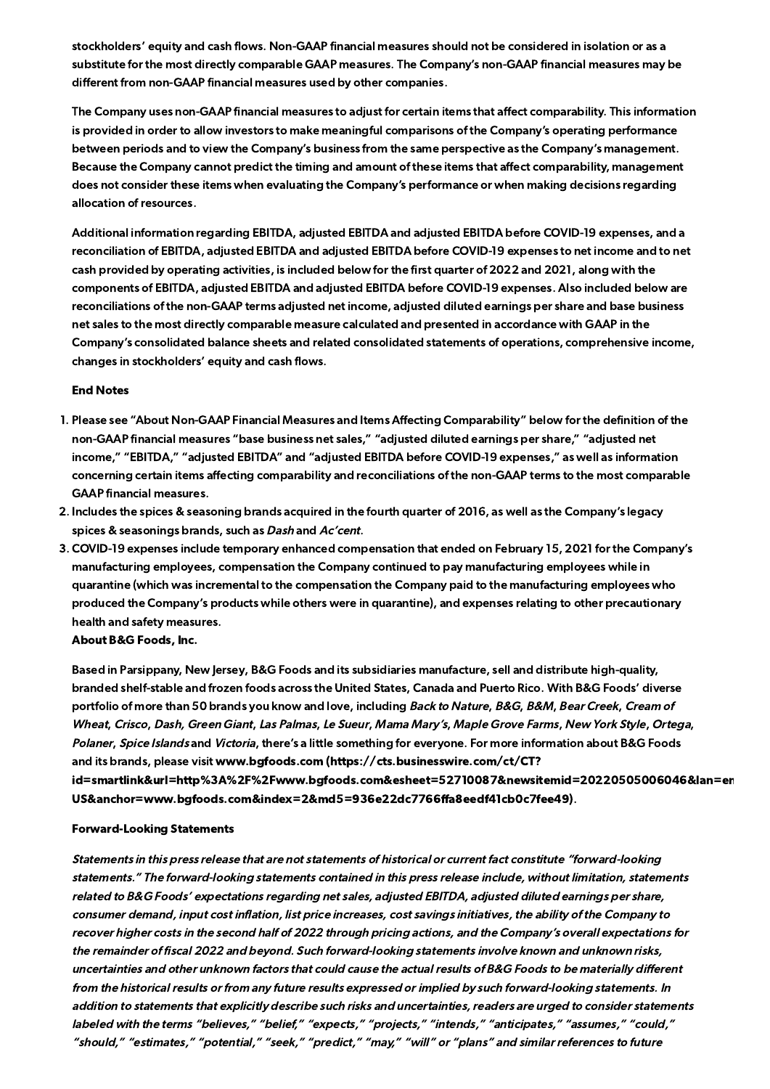stockholders' equity and cash flows. Non-GAAP financial measures should not be considered in isolation or as a substitute for the most directly comparable GAAP measures. The Company's non-GAAP financial measures may be different from non-GAAP financial measures used by other companies.

The Company uses non-GAAP financial measures to adjust for certain items that affect comparability. This information is provided in order to allow investors to make meaningful comparisons of the Company's operating performance between periods and to view the Company's business from the same perspective as the Company's management. Because the Company cannot predict the timing and amount of these items that affect comparability, management does not consider these items when evaluating the Company's performance or when making decisions regarding allocation of resources.

Additional information regarding EBITDA, adjusted EBITDA and adjusted EBITDA before COVID-19 expenses, and a reconciliation of EBITDA, adjusted EBITDA and adjusted EBITDA before COVID-19 expenses to net income and to net cash provided by operating activities, is included below for the first quarter of 2022 and 2021, along with the components of EBITDA, adjusted EBITDA and adjusted EBITDA before COVID-19 expenses. Also included below are reconciliations of the non-GAAP terms adjusted net income, adjusted diluted earnings per share and base business net sales to the most directly comparable measure calculated and presented in accordance with GAAP in the Company's consolidated balance sheets and related consolidated statements of operations, comprehensive income, changes in stockholders' equity and cash flows.

#### End Notes

- 1. Please see "About Non-GAAP Financial Measures and Items Affecting Comparability" below for the definition of the non-GAAP financial measures "base business net sales," "adjusted diluted earnings per share," "adjusted net income," "EBITDA," "adjusted EBITDA" and "adjusted EBITDA before COVID-19 expenses," as well as information concerning certain items affecting comparability and reconciliations of the non-GAAP terms to the most comparable GAAP financial measures.
- 2. Includes the spices & seasoning brands acquired in the fourth quarter of 2016, as well as the Company's legacy spices & seasonings brands, such as Dash and Ac'cent.
- 3. COVID-19 expenses include temporary enhanced compensation that ended on February 15, 2021 for the Company's manufacturing employees, compensation the Company continued to pay manufacturing employees while in quarantine (which was incremental to the compensation the Company paid to the manufacturing employees who produced the Company's products while others were in quarantine), and expenses relating to other precautionary health and safety measures.

About B&G Foods, Inc.

Based in Parsippany, New Jersey, B&G Foods and its subsidiaries manufacture, sell and distribute high-quality, branded shelf-stable and frozen foods across the United States, Canada and Puerto Rico. With B&G Foods' diverse portfolio of more than 50 brands you know and love, including Back to Nature, B&G, B&M, Bear Creek, Cream of Wheat, Crisco, Dash, Green Giant, Las Palmas, Le Sueur, Mama Mary's, Maple Grove Farms, New York Style, Ortega, Polaner, Spice Islands and Victoria, there's a little something for everyone. For more information about B&G Foods and its brands, please visit www.bgfoods.com (https://cts.businesswire.com/ct/CT? [id=smartlink&url=http%3A%2F%2Fwww.bgfoods.com&esheet=52710087&newsitemid=20220505006046&lan=en](https://cts.businesswire.com/ct/CT?id=smartlink&url=http%3A%2F%2Fwww.bgfoods.com&esheet=52710087&newsitemid=20220505006046&lan=en-US&anchor=www.bgfoods.com&index=2&md5=936e22dc7766ffa8eedf41cb0c7fee49) US&anchor=www.bgfoods.com&index=2&md5=936e22dc7766ffa8eedf41cb0c7fee49).

#### Forward-Looking Statements

Statements in this press release that are not statements of historical or current fact constitute "forward-looking statements." The forward-looking statements contained in this press release include, without limitation, statements related to B&G Foods' expectations regarding net sales, adjusted EBITDA, adjusted diluted earnings per share, consumer demand, input cost inflation, list price increases, cost savings initiatives, the ability of the Company to recover higher costs in the second half of 2022 through pricing actions, and the Company's overall expectations for the remainder of fiscal 2022 and beyond. Such forward-looking statements involve known and unknown risks, uncertainties and other unknown factors that could cause the actual results of B&G Foods to be materially different from the historical results or from any future results expressed or implied by such forward-looking statements. In addition to statements that explicitly describe such risks and uncertainties, readers are urged to consider statements labeled with the terms "believes," "belief," "expects," "projects," "intends," "anticipates," "assumes," "could," "should," "estimates," "potential," "seek," "predict," "may," "will" or "plans" and similar references to future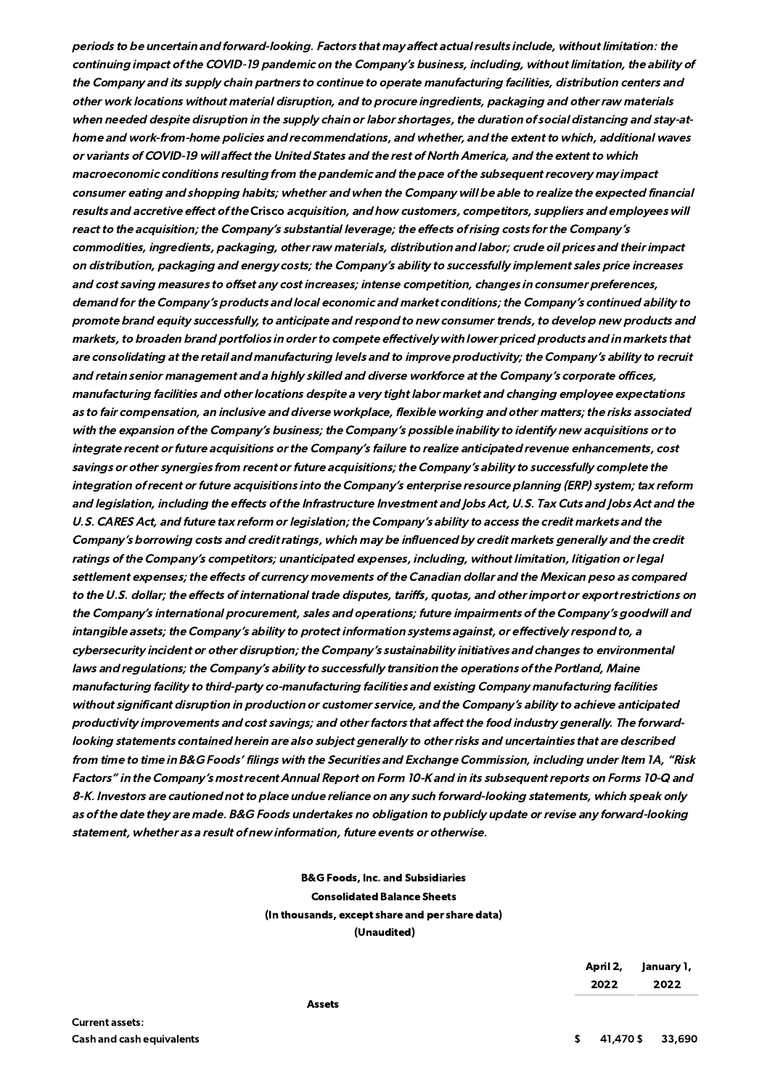periods to be uncertain and forward-looking. Factors that may affect actual results include, without limitation: the continuing impact of the COVID‑19 pandemic on the Company's business, including, without limitation, the ability of the Company and its supply chain partners to continue to operate manufacturing facilities, distribution centers and other work locations without material disruption, and to procure ingredients, packaging and other raw materials when needed despite disruption in the supply chain or labor shortages, the duration of social distancing and stay-athome and work-from-home policies and recommendations, and whether, and the extent to which, additional waves or variants of COVID-19 will affect the United States and the rest of North America, and the extent to which macroeconomic conditions resulting from the pandemic and the pace of the subsequent recovery may impact consumer eating and shopping habits; whether and when the Company will be able to realize the expected financial results and accretive effect of the Crisco acquisition, and how customers, competitors, suppliers and employees will react to the acquisition; the Company's substantial leverage; the effects of rising costs for the Company's commodities, ingredients, packaging, other raw materials, distribution and labor; crude oil prices and their impact on distribution, packaging and energy costs; the Company's ability to successfully implement sales price increases and cost saving measures to offset any cost increases; intense competition, changes in consumer preferences, demand for the Company's products and local economic and market conditions; the Company's continued ability to promote brand equity successfully, to anticipate and respond to new consumer trends, to develop new products and markets, to broaden brand portfolios in order to compete effectively with lower priced products and in markets that are consolidating at the retail and manufacturing levels and to improve productivity; the Company's ability to recruit and retain senior management and <sup>a</sup> highly skilled and diverse workforce at the Company's corporate offices, manufacturing facilities and other locations despite <sup>a</sup> very tight labor market and changing employee expectations as to fair compensation, an inclusive and diverse workplace, flexible working and other matters; the risks associated with the expansion of the Company's business; the Company's possible inability to identify new acquisitions or to integrate recent or future acquisitions or the Company's failure to realize anticipated revenue enhancements, cost savings or other synergies from recent or future acquisitions; the Company's ability to successfully complete the integration of recent or future acquisitions into the Company's enterprise resource planning (ERP) system; tax reform and legislation, including the effects of the Infrastructure Investment and Jobs Act, U.S. Tax Cuts and Jobs Act and the U.S. CARES Act, and future tax reform or legislation; the Company's ability to access the credit markets and the Company's borrowing costs and credit ratings, which may be influenced by credit markets generally and the credit ratings of the Company's competitors; unanticipated expenses, including, without limitation, litigation or legal settlement expenses; the effects of currency movements of the Canadian dollar and the Mexican peso as compared to the U.S. dollar; the effects of international trade disputes, tariffs, quotas, and other import or export restrictions on the Company's international procurement, sales and operations; future impairments of the Company's goodwill and intangible assets; the Company's ability to protect information systems against, or effectively respond to, <sup>a</sup> cybersecurity incident or other disruption; the Company's sustainability initiatives and changes to environmental laws and regulations; the Company's ability to successfully transition the operations of the Portland, Maine manufacturing facility to third-party co-manufacturing facilities and existing Company manufacturing facilities without significant disruption in production or customer service, and the Company's ability to achieve anticipated productivity improvements and cost savings; and other factors that affect the food industry generally. The forwardlooking statements contained herein are also subject generally to other risks and uncertainties that are described from time to time in B&G Foods' filings with the Securities and Exchange Commission, including under Item 1A, "Risk Factors" in the Company's most recent Annual Report on Form 10-K and in its subsequent reports on Forms 10-Q and 8-K. Investors are cautioned not to place undue reliance on any such forward-looking statements, which speak only as of the date they are made. B&G Foods undertakes no obligation to publicly update or revise any forward-looking statement, whether as <sup>a</sup> result of new information, future events or otherwise.

> B&G Foods, Inc. and Subsidiaries Consolidated Balance Sheets (In thousands, except share and per share data) (Unaudited)

| April 2, | January 1, |
|----------|------------|
| 2022     | 2022       |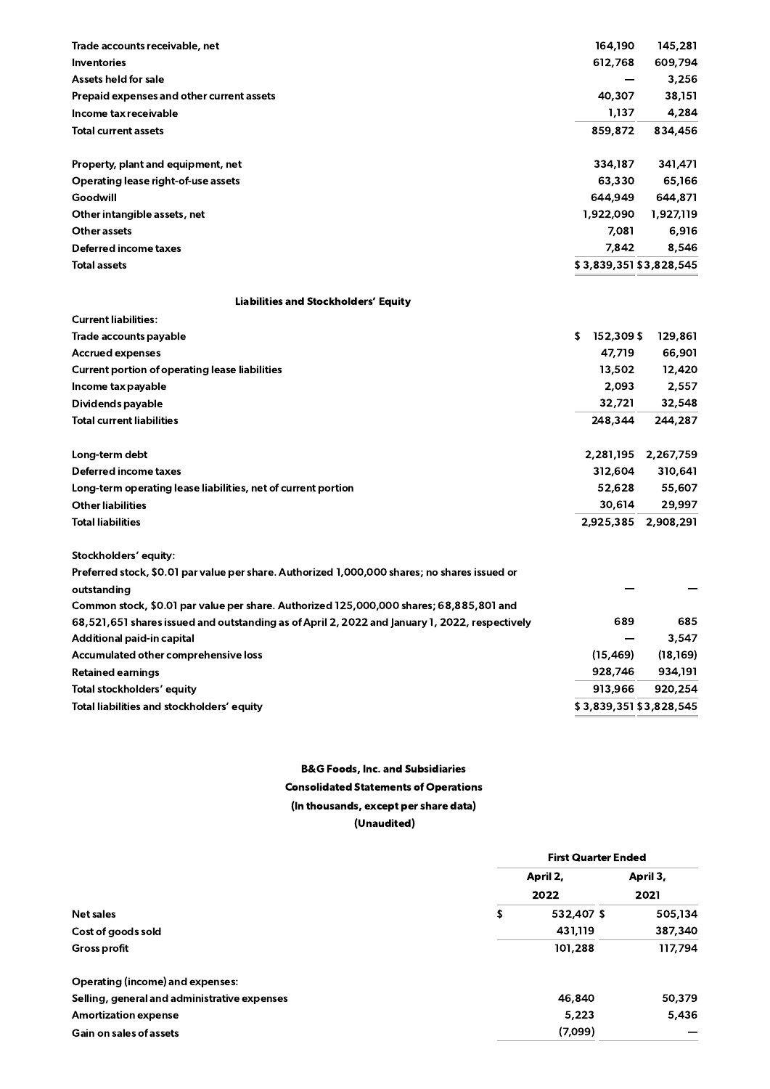| Trade accounts receivable, net                                                                 | 164,190                 | 145,281   |
|------------------------------------------------------------------------------------------------|-------------------------|-----------|
| <b>Inventories</b>                                                                             | 612,768                 | 609,794   |
| Assets held for sale                                                                           |                         | 3,256     |
| Prepaid expenses and other current assets                                                      | 40,307                  | 38,151    |
| Income tax receivable                                                                          | 1,137                   | 4,284     |
| <b>Total current assets</b>                                                                    | 859,872                 | 834,456   |
|                                                                                                |                         |           |
| Property, plant and equipment, net                                                             | 334,187                 | 341,471   |
| Operating lease right-of-use assets                                                            | 63,330                  | 65,166    |
| Goodwill                                                                                       | 644,949                 | 644,871   |
| Other intangible assets, net                                                                   | 1,922,090               | 1,927,119 |
| <b>Other assets</b>                                                                            | 7,081                   | 6,916     |
| Deferred income taxes                                                                          | 7,842                   | 8,546     |
| <b>Total assets</b>                                                                            | \$3,839,351 \$3,828,545 |           |
|                                                                                                |                         |           |
| <b>Liabilities and Stockholders' Equity</b>                                                    |                         |           |
| <b>Current liabilities:</b>                                                                    |                         |           |
| Trade accounts payable                                                                         | \$<br>152,309\$         | 129,861   |
| <b>Accrued expenses</b>                                                                        | 47,719                  | 66,901    |
| <b>Current portion of operating lease liabilities</b>                                          | 13,502                  | 12,420    |
| Income tax payable                                                                             | 2,093                   | 2,557     |
| Dividends payable                                                                              | 32,721                  | 32,548    |
| <b>Total current liabilities</b>                                                               | 248,344                 | 244,287   |
|                                                                                                |                         |           |
| Long-term debt                                                                                 | 2,281,195               | 2,267,759 |
| Deferred income taxes                                                                          | 312,604                 | 310,641   |
| Long-term operating lease liabilities, net of current portion                                  | 52,628                  | 55,607    |
| <b>Other liabilities</b>                                                                       | 30,614                  | 29,997    |
| <b>Total liabilities</b>                                                                       | 2,925,385               | 2,908,291 |
|                                                                                                |                         |           |
| Stockholders' equity:                                                                          |                         |           |
| Preferred stock, \$0.01 par value per share. Authorized 1,000,000 shares; no shares issued or  |                         |           |
| outstanding                                                                                    |                         |           |
| Common stock, \$0.01 par value per share. Authorized 125,000,000 shares; 68,885,801 and        |                         |           |
| 68,521,651 shares issued and outstanding as of April 2, 2022 and January 1, 2022, respectively | 689                     | 685       |
| Additional paid-in capital                                                                     |                         | 3,547     |
| Accumulated other comprehensive loss                                                           | (15, 469)               | (18, 169) |
| <b>Retained earnings</b>                                                                       | 928,746                 | 934,191   |
| Total stockholders' equity                                                                     | 913,966                 | 920,254   |
| Total liabilities and stockholders' equity                                                     | \$3,839,351 \$3,828,545 |           |

### B&G Foods, Inc. and Subsidiaries Consolidated Statements of Operations (In thousands, except per share data) (Unaudited)

|                                              | <b>First Quarter Ended</b> |           |          |  |
|----------------------------------------------|----------------------------|-----------|----------|--|
|                                              | April 2,                   |           | April 3, |  |
|                                              |                            | 2022      | 2021     |  |
| Net sales                                    | \$                         | 532,407\$ | 505,134  |  |
| Cost of goods sold                           |                            | 431,119   | 387,340  |  |
| <b>Gross profit</b>                          |                            | 101,288   | 117,794  |  |
| Operating (income) and expenses:             |                            |           |          |  |
| Selling, general and administrative expenses |                            | 46,840    | 50,379   |  |
| <b>Amortization expense</b>                  |                            | 5,223     | 5,436    |  |
| Gain on sales of assets                      |                            | (7,099)   |          |  |